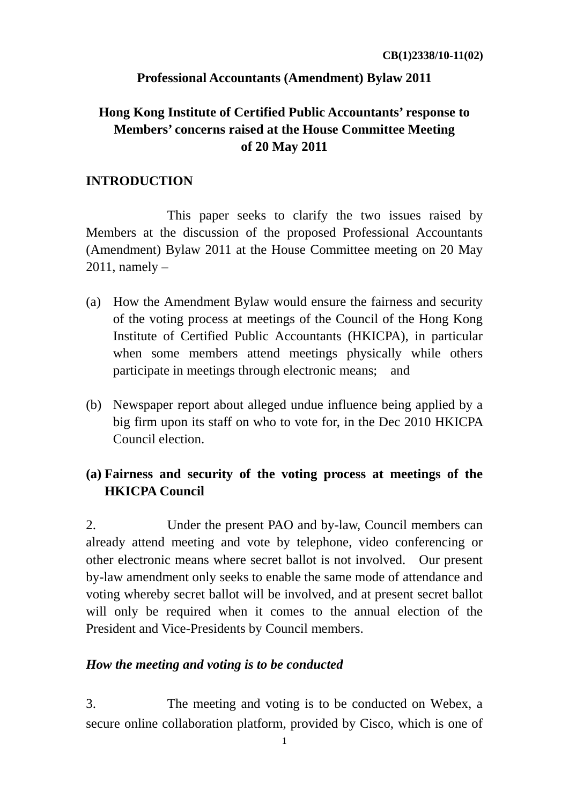## **Professional Accountants (Amendment) Bylaw 2011**

# **Hong Kong Institute of Certified Public Accountants' response to Members' concerns raised at the House Committee Meeting of 20 May 2011**

### **INTRODUCTION**

This paper seeks to clarify the two issues raised by Members at the discussion of the proposed Professional Accountants (Amendment) Bylaw 2011 at the House Committee meeting on 20 May 2011, namely –

- (a) How the Amendment Bylaw would ensure the fairness and security of the voting process at meetings of the Council of the Hong Kong Institute of Certified Public Accountants (HKICPA), in particular when some members attend meetings physically while others participate in meetings through electronic means; and
- (b) Newspaper report about alleged undue influence being applied by a big firm upon its staff on who to vote for, in the Dec 2010 HKICPA Council election.

# **(a) Fairness and security of the voting process at meetings of the HKICPA Council**

2. Under the present PAO and by-law, Council members can already attend meeting and vote by telephone, video conferencing or other electronic means where secret ballot is not involved. Our present by-law amendment only seeks to enable the same mode of attendance and voting whereby secret ballot will be involved, and at present secret ballot will only be required when it comes to the annual election of the President and Vice-Presidents by Council members.

## *How the meeting and voting is to be conducted*

3. The meeting and voting is to be conducted on Webex, a secure online collaboration platform, provided by Cisco, which is one of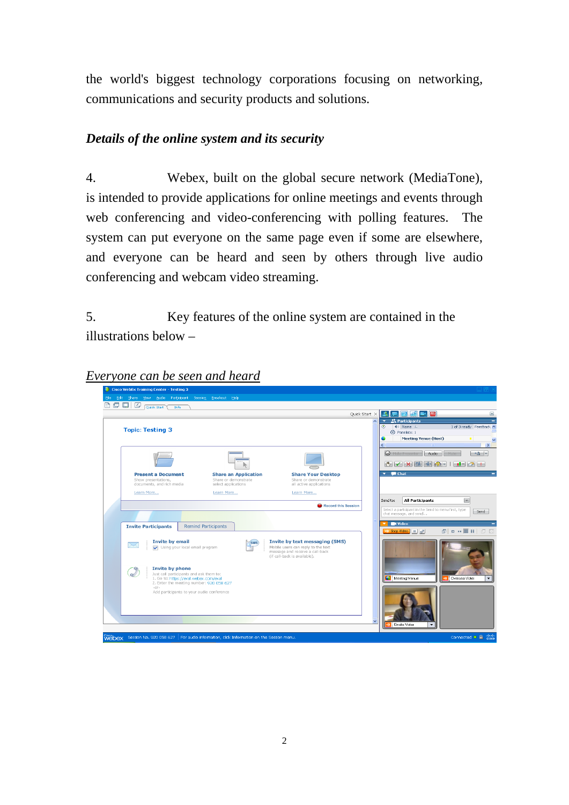the world's biggest technology corporations focusing on networking, communications and security products and solutions.

## *Details of the online system and its security*

4. Webex, built on the global secure network (MediaTone), is intended to provide applications for online meetings and events through web conferencing and video-conferencing with polling features. The system can put everyone on the same page even if some are elsewhere, and everyone can be heard and seen by others through live audio conferencing and webcam video streaming.

5. Key features of the online system are contained in the illustrations below –

#### *Everyone can be seen and heard*

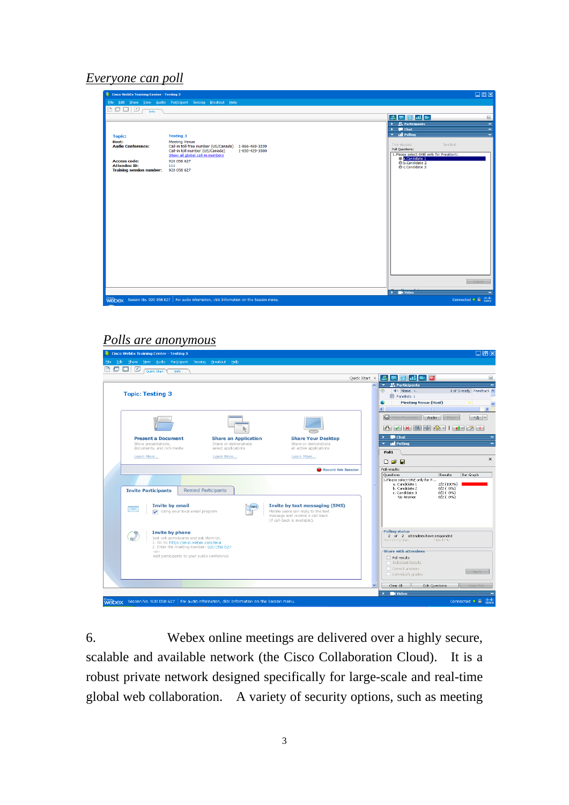#### *Everyone can poll*

| Cisco WebEx Training Center - Testing 3                      |                                                                                                                                             |                                                                                            | 口回区                     |
|--------------------------------------------------------------|---------------------------------------------------------------------------------------------------------------------------------------------|--------------------------------------------------------------------------------------------|-------------------------|
| File Edit Share View Audio Participant Session Breakout Help |                                                                                                                                             |                                                                                            |                         |
| $\square \square \square$<br>凸<br>Info                       |                                                                                                                                             |                                                                                            |                         |
|                                                              |                                                                                                                                             | $\mathbf{F}[\mathbf{Z}]$ at $\mathbf{F}$<br>$\mathbf{P}$                                   | $\overline{\mathbf{x}}$ |
|                                                              |                                                                                                                                             | $\rightarrow$ $\frac{10}{20}$ Participants<br>$\blacksquare$ Chat                          | ÷<br>٠                  |
|                                                              | <b>Testing 3</b>                                                                                                                            | $\overline{\phantom{a}}$ all Polling                                                       | ÷                       |
| <b>Topic:</b><br>Host:                                       | <b>Meeting Venue</b>                                                                                                                        |                                                                                            |                         |
| <b>Audio Conference:</b>                                     | Call-in toll-free number (US/Canada) 1-866-469-3239<br>Call-in toll number (US/Canada)<br>1-650-429-3300<br>Show all global call-in numbers | Time limit:<br>Time elapsed:<br>Poll Questions:<br>1.Please select ONE only for President: |                         |
| <b>Access code:</b>                                          | 920 058 627                                                                                                                                 | a.Candidate 1<br>b.Candidate 2                                                             |                         |
| <b>Attendee ID:</b>                                          | 111<br>920 058 627                                                                                                                          | C.Candidate 3                                                                              |                         |
| <b>Training session number:</b>                              |                                                                                                                                             |                                                                                            |                         |
|                                                              |                                                                                                                                             |                                                                                            |                         |
|                                                              |                                                                                                                                             |                                                                                            |                         |
|                                                              |                                                                                                                                             |                                                                                            |                         |
|                                                              |                                                                                                                                             |                                                                                            |                         |
|                                                              |                                                                                                                                             |                                                                                            |                         |
|                                                              |                                                                                                                                             |                                                                                            |                         |
|                                                              |                                                                                                                                             |                                                                                            |                         |
|                                                              |                                                                                                                                             |                                                                                            |                         |
|                                                              |                                                                                                                                             |                                                                                            |                         |
|                                                              |                                                                                                                                             |                                                                                            |                         |
|                                                              |                                                                                                                                             |                                                                                            |                         |
|                                                              |                                                                                                                                             |                                                                                            |                         |
|                                                              |                                                                                                                                             |                                                                                            |                         |
|                                                              |                                                                                                                                             |                                                                                            |                         |
|                                                              |                                                                                                                                             |                                                                                            | Submit                  |
|                                                              |                                                                                                                                             | $\rightarrow$ <b>EX</b> Video                                                              |                         |
|                                                              | Webex Session No. 920 058 627   For audio information, click Information on the Session menu.                                               | Connected ● ■                                                                              | abab.<br>cisco          |

## *Polls are anonymous*



6. Webex online meetings are delivered over a highly secure, scalable and available network (the Cisco Collaboration Cloud). It is a robust private network designed specifically for large-scale and real-time global web collaboration. A variety of security options, such as meeting